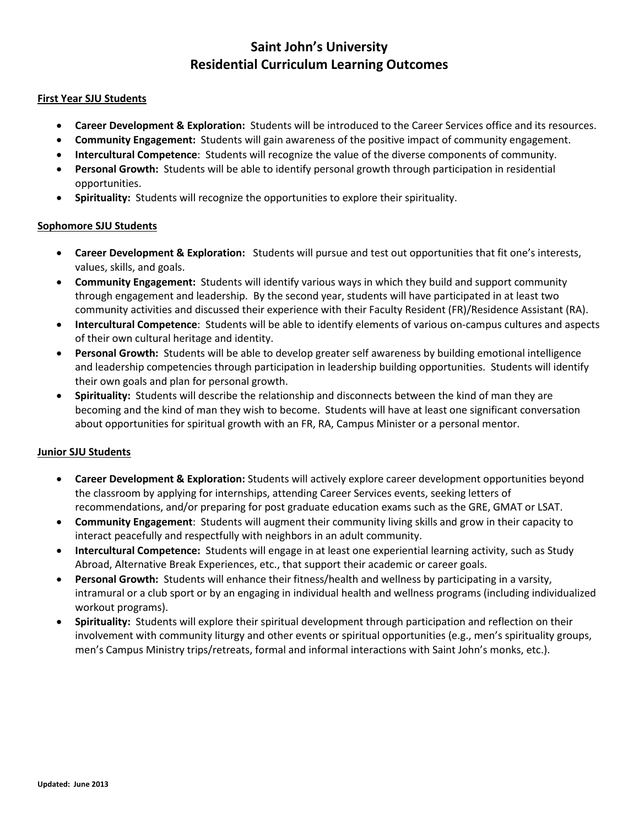# **Saint John's University Residential Curriculum Learning Outcomes**

### **First Year SJU Students**

- **Career Development & Exploration:** Students will be introduced to the Career Services office and its resources.
- **Community Engagement:** Students will gain awareness of the positive impact of community engagement.
- **Intercultural Competence**: Students will recognize the value of the diverse components of community.
- **Personal Growth:** Students will be able to identify personal growth through participation in residential opportunities.
- **Spirituality:** Students will recognize the opportunities to explore their spirituality.

### **Sophomore SJU Students**

- **Career Development & Exploration:** Students will pursue and test out opportunities that fit one's interests, values, skills, and goals.
- **Community Engagement:** Students will identify various ways in which they build and support community through engagement and leadership. By the second year, students will have participated in at least two community activities and discussed their experience with their Faculty Resident (FR)/Residence Assistant (RA).
- **Intercultural Competence**: Students will be able to identify elements of various on-campus cultures and aspects of their own cultural heritage and identity.
- **Personal Growth:** Students will be able to develop greater self awareness by building emotional intelligence and leadership competencies through participation in leadership building opportunities. Students will identify their own goals and plan for personal growth.
- **Spirituality:** Students will describe the relationship and disconnects between the kind of man they are becoming and the kind of man they wish to become. Students will have at least one significant conversation about opportunities for spiritual growth with an FR, RA, Campus Minister or a personal mentor.

## **Junior SJU Students**

- **Career Development & Exploration:** Students will actively explore career development opportunities beyond the classroom by applying for internships, attending Career Services events, seeking letters of recommendations, and/or preparing for post graduate education exams such as the GRE, GMAT or LSAT.
- **Community Engagement**: Students will augment their community living skills and grow in their capacity to interact peacefully and respectfully with neighbors in an adult community.
- **Intercultural Competence:** Students will engage in at least one experiential learning activity, such as Study Abroad, Alternative Break Experiences, etc., that support their academic or career goals.
- **Personal Growth:** Students will enhance their fitness/health and wellness by participating in a varsity, intramural or a club sport or by an engaging in individual health and wellness programs (including individualized workout programs).
- **Spirituality:** Students will explore their spiritual development through participation and reflection on their involvement with community liturgy and other events or spiritual opportunities (e.g., men's spirituality groups, men's Campus Ministry trips/retreats, formal and informal interactions with Saint John's monks, etc.).